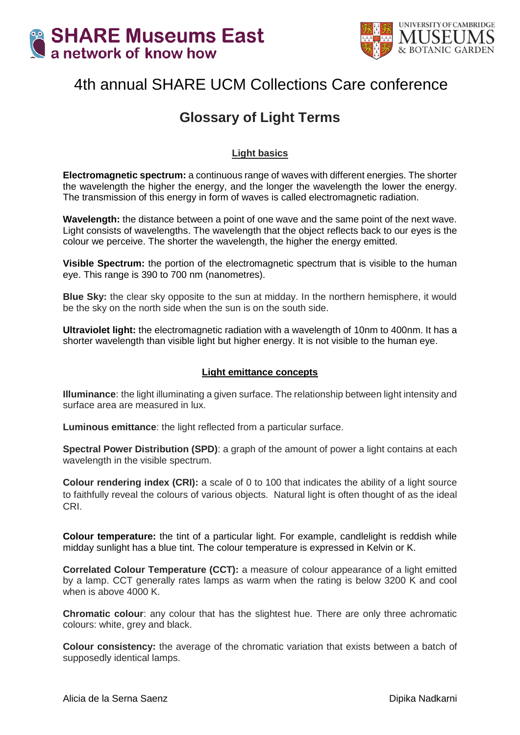



# 4th annual SHARE UCM Collections Care conference

## **Glossary of Light Terms**

### **Light basics**

**Electromagnetic spectrum:** a continuous range of waves with different energies. The shorter the wavelength the higher the energy, and the longer the wavelength the lower the energy. The transmission of this energy in form of waves is called electromagnetic radiation.

**Wavelength:** the distance between a point of one wave and the same point of the next wave. Light consists of wavelengths. The wavelength that the object reflects back to our eyes is the colour we perceive. The shorter the wavelength, the higher the energy emitted.

**Visible Spectrum:** the portion of the electromagnetic spectrum that is visible to the human eye. This range is 390 to 700 nm (nanometres).

**Blue Sky:** the clear sky opposite to the sun at midday. In the northern hemisphere, it would be the sky on the north side when the sun is on the south side.

**Ultraviolet light:** the electromagnetic radiation with a wavelength of 10nm to 400nm. It has a shorter wavelength than visible light but higher energy. It is not visible to the human eye.

#### **Light emittance concepts**

**Illuminance**: the light illuminating a given surface. The relationship between light intensity and surface area are measured in lux.

**Luminous emittance**: the light reflected from a particular surface.

**Spectral Power Distribution (SPD)**: a graph of the amount of power a light contains at each wavelength in the visible spectrum.

**Colour rendering index (CRI):** a scale of 0 to 100 that indicates the ability of a light source to faithfully reveal the colours of various objects. Natural light is often thought of as the ideal CRI.

**Colour temperature:** the tint of a particular light. For example, candlelight is reddish while midday sunlight has a blue tint. The colour temperature is expressed in Kelvin or K.

**Correlated Colour Temperature (CCT):** a measure of colour appearance of a light emitted by a lamp. CCT generally rates lamps as warm when the rating is below 3200 K and cool when is above 4000 K.

**Chromatic colour**: any colour that has the slightest hue. There are only three achromatic colours: white, grey and black.

**Colour consistency:** the average of the chromatic variation that exists between a batch of supposedly identical lamps.